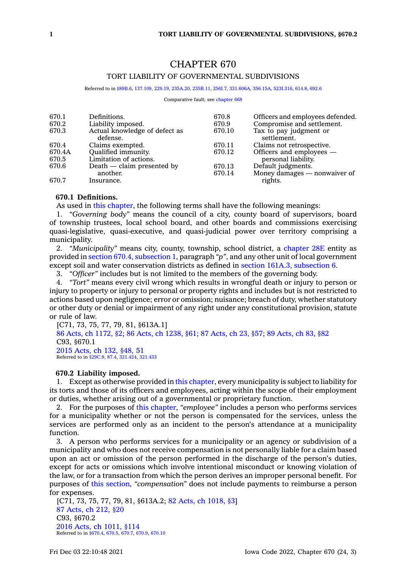# CHAPTER 670

# TORT LIABILITY OF GOVERNMENTAL SUBDIVISIONS

Referred to in [§89B.6](https://www.legis.iowa.gov/docs/code/89B.6.pdf), [137.109](https://www.legis.iowa.gov/docs/code/137.109.pdf), [229.19](https://www.legis.iowa.gov/docs/code/229.19.pdf), [235A.20](https://www.legis.iowa.gov/docs/code/235A.20.pdf), [235B.11,](https://www.legis.iowa.gov/docs/code/235B.11.pdf) [256I.7,](https://www.legis.iowa.gov/docs/code/256I.7.pdf) [331.606A](https://www.legis.iowa.gov/docs/code/331.606A.pdf), [356.15A](https://www.legis.iowa.gov/docs/code/356.15A.pdf), [523I.316](https://www.legis.iowa.gov/docs/code/523I.316.pdf), [614.8](https://www.legis.iowa.gov/docs/code/614.8.pdf), [692.6](https://www.legis.iowa.gov/docs/code/692.6.pdf)

Comparative fault: see [chapter](https://www.legis.iowa.gov/docs/code//668.pdf) 668

| 670.1<br>670.2 | Definitions.<br>Liability imposed.        | 670.8<br>670.9 | Officers and employees defended.<br>Compromise and settlement. |
|----------------|-------------------------------------------|----------------|----------------------------------------------------------------|
| 670.3          | Actual knowledge of defect as<br>defense. | 670.10         | Tax to pay judgment or<br>settlement.                          |
| 670.4          | Claims exempted.                          | 670.11         | Claims not retrospective.                                      |
| 670.4A         | Qualified immunity.                       | 670.12         | Officers and employees —                                       |
| 670.5          | Limitation of actions.                    |                | personal liability.                                            |
| 670.6          | Death - claim presented by                | 670.13         | Default judgments.                                             |
|                | another.                                  | 670.14         | Money damages — nonwaiver of                                   |
| 670.7          | Insurance.                                |                | rights.                                                        |

# **670.1 Definitions.**

As used in this [chapter](https://www.legis.iowa.gov/docs/code//670.pdf), the following terms shall have the following meanings:

1. *"Governing body"* means the council of <sup>a</sup> city, county board of supervisors, board of township trustees, local school board, and other boards and commissions exercising quasi-legislative, quasi-executive, and quasi-judicial power over territory comprising <sup>a</sup> municipality.

2. *"Municipality"* means city, county, township, school district, <sup>a</sup> [chapter](https://www.legis.iowa.gov/docs/code//28E.pdf) 28E entity as provided in section 670.4, [subsection](https://www.legis.iowa.gov/docs/code/670.4.pdf) 1, paragraph *"p"*, and any other unit of local government except soil and water conservation districts as defined in section 161A.3, [subsection](https://www.legis.iowa.gov/docs/code/161A.3.pdf) 6.

3. *"Officer"* includes but is not limited to the members of the governing body.

4. *"Tort"* means every civil wrong which results in wrongful death or injury to person or injury to property or injury to personal or property rights and includes but is not restricted to actions based upon negligence; error or omission; nuisance; breach of duty, whether statutory or other duty or denial or impairment of any right under any constitutional provision, statute or rule of law.

[C71, 73, 75, 77, 79, 81, §613A.1] 86 Acts, ch [1172,](https://www.legis.iowa.gov/docs/acts/1986/CH1172.pdf) §2; 86 Acts, ch [1238,](https://www.legis.iowa.gov/docs/acts/86/CH1238.pdf) §61; 87 [Acts,](https://www.legis.iowa.gov/docs/acts/87/CH0023.pdf) ch 23, §57; 89 [Acts,](https://www.legis.iowa.gov/docs/acts/89/CH0083.pdf) ch 83, §82 C93, §670.1 2015 [Acts,](https://www.legis.iowa.gov/docs/acts/2015/CH0132.pdf) ch 132, §48, 51 Referred to in [§29C.9](https://www.legis.iowa.gov/docs/code/29C.9.pdf), [87.4](https://www.legis.iowa.gov/docs/code/87.4.pdf), [321.424](https://www.legis.iowa.gov/docs/code/321.424.pdf), [321.433](https://www.legis.iowa.gov/docs/code/321.433.pdf)

# **670.2 Liability imposed.**

1. Except as otherwise provided in this [chapter](https://www.legis.iowa.gov/docs/code//670.pdf), every municipality is subject to liability for its torts and those of its officers and employees, acting within the scope of their employment or duties, whether arising out of <sup>a</sup> governmental or proprietary function.

2. For the purposes of this [chapter](https://www.legis.iowa.gov/docs/code//670.pdf), *"employee"* includes <sup>a</sup> person who performs services for <sup>a</sup> municipality whether or not the person is compensated for the services, unless the services are performed only as an incident to the person's attendance at <sup>a</sup> municipality function.

3. A person who performs services for <sup>a</sup> municipality or an agency or subdivision of <sup>a</sup> municipality and who does not receive compensation is not personally liable for <sup>a</sup> claim based upon an act or omission of the person performed in the discharge of the person's duties, except for acts or omissions which involve intentional misconduct or knowing violation of the law, or for <sup>a</sup> transaction from which the person derives an improper personal benefit. For purposes of this [section](https://www.legis.iowa.gov/docs/code/670.2.pdf), *"compensation"* does not include payments to reimburse <sup>a</sup> person for expenses.

[C71, 73, 75, 77, 79, 81, §613A.2; 82 Acts, ch [1018,](https://www.legis.iowa.gov/docs/acts/1982/CH1018.pdf) §3] 87 [Acts,](https://www.legis.iowa.gov/docs/acts/1987/CH0212.pdf) ch 212, §20 C93, §670.2 2016 Acts, ch [1011,](https://www.legis.iowa.gov/docs/acts/2016/CH1011.pdf) §114 Referred to in [§670.4](https://www.legis.iowa.gov/docs/code/670.4.pdf), [670.5](https://www.legis.iowa.gov/docs/code/670.5.pdf), [670.7](https://www.legis.iowa.gov/docs/code/670.7.pdf), [670.9](https://www.legis.iowa.gov/docs/code/670.9.pdf), [670.10](https://www.legis.iowa.gov/docs/code/670.10.pdf)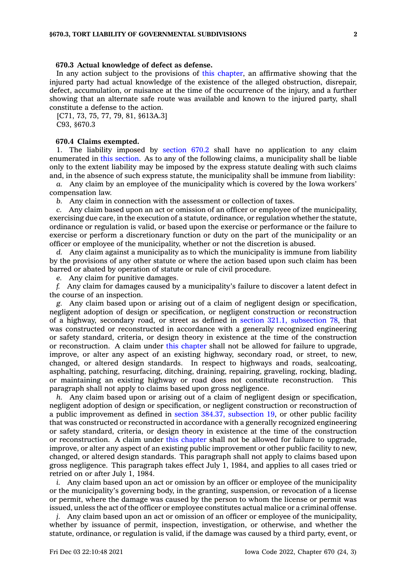#### **670.3 Actual knowledge of defect as defense.**

In any action subject to the provisions of this [chapter](https://www.legis.iowa.gov/docs/code//670.pdf), an affirmative showing that the injured party had actual knowledge of the existence of the alleged obstruction, disrepair, defect, accumulation, or nuisance at the time of the occurrence of the injury, and <sup>a</sup> further showing that an alternate safe route was available and known to the injured party, shall constitute <sup>a</sup> defense to the action.

[C71, 73, 75, 77, 79, 81, §613A.3] C93, §670.3

#### **670.4 Claims exempted.**

1. The liability imposed by [section](https://www.legis.iowa.gov/docs/code/670.2.pdf) 670.2 shall have no application to any claim enumerated in this [section](https://www.legis.iowa.gov/docs/code/670.4.pdf). As to any of the following claims, <sup>a</sup> municipality shall be liable only to the extent liability may be imposed by the express statute dealing with such claims and, in the absence of such express statute, the municipality shall be immune from liability:

*a.* Any claim by an employee of the municipality which is covered by the Iowa workers' compensation law.

*b.* Any claim in connection with the assessment or collection of taxes.

*c.* Any claim based upon an act or omission of an officer or employee of the municipality, exercising due care, in the execution of <sup>a</sup> statute, ordinance, or regulation whether the statute, ordinance or regulation is valid, or based upon the exercise or performance or the failure to exercise or perform <sup>a</sup> discretionary function or duty on the part of the municipality or an officer or employee of the municipality, whether or not the discretion is abused.

*d.* Any claim against <sup>a</sup> municipality as to which the municipality is immune from liability by the provisions of any other statute or where the action based upon such claim has been barred or abated by operation of statute or rule of civil procedure.

*e.* Any claim for punitive damages.

*f.* Any claim for damages caused by <sup>a</sup> municipality's failure to discover <sup>a</sup> latent defect in the course of an inspection.

*g.* Any claim based upon or arising out of <sup>a</sup> claim of negligent design or specification, negligent adoption of design or specification, or negligent construction or reconstruction of <sup>a</sup> highway, secondary road, or street as defined in section 321.1, [subsection](https://www.legis.iowa.gov/docs/code/321.1.pdf) 78, that was constructed or reconstructed in accordance with <sup>a</sup> generally recognized engineering or safety standard, criteria, or design theory in existence at the time of the construction or reconstruction. A claim under this [chapter](https://www.legis.iowa.gov/docs/code//670.pdf) shall not be allowed for failure to upgrade, improve, or alter any aspect of an existing highway, secondary road, or street, to new, changed, or altered design standards. In respect to highways and roads, sealcoating, asphalting, patching, resurfacing, ditching, draining, repairing, graveling, rocking, blading, or maintaining an existing highway or road does not constitute reconstruction. This paragraph shall not apply to claims based upon gross negligence.

*h.* Any claim based upon or arising out of <sup>a</sup> claim of negligent design or specification, negligent adoption of design or specification, or negligent construction or reconstruction of <sup>a</sup> public improvement as defined in section 384.37, [subsection](https://www.legis.iowa.gov/docs/code/384.37.pdf) 19, or other public facility that was constructed or reconstructed in accordance with <sup>a</sup> generally recognized engineering or safety standard, criteria, or design theory in existence at the time of the construction or reconstruction. A claim under this [chapter](https://www.legis.iowa.gov/docs/code//670.pdf) shall not be allowed for failure to upgrade, improve, or alter any aspect of an existing public improvement or other public facility to new, changed, or altered design standards. This paragraph shall not apply to claims based upon gross negligence. This paragraph takes effect July 1, 1984, and applies to all cases tried or retried on or after July 1, 1984.

*i.* Any claim based upon an act or omission by an officer or employee of the municipality or the municipality's governing body, in the granting, suspension, or revocation of <sup>a</sup> license or permit, where the damage was caused by the person to whom the license or permit was issued, unless the act of the officer or employee constitutes actual malice or <sup>a</sup> criminal offense.

*j.* Any claim based upon an act or omission of an officer or employee of the municipality, whether by issuance of permit, inspection, investigation, or otherwise, and whether the statute, ordinance, or regulation is valid, if the damage was caused by <sup>a</sup> third party, event, or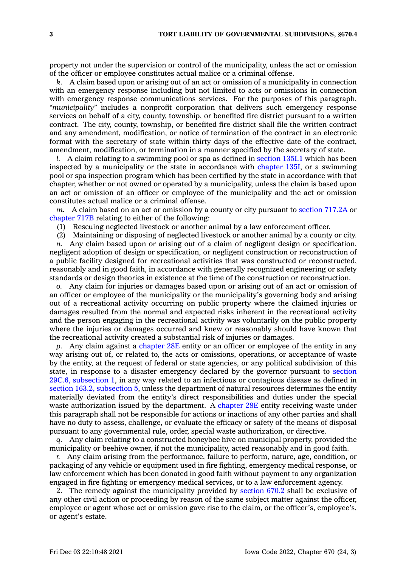property not under the supervision or control of the municipality, unless the act or omission of the officer or employee constitutes actual malice or <sup>a</sup> criminal offense.

*k.* A claim based upon or arising out of an act or omission of <sup>a</sup> municipality in connection with an emergency response including but not limited to acts or omissions in connection with emergency response communications services. For the purposes of this paragraph, *"municipality"* includes <sup>a</sup> nonprofit corporation that delivers such emergency response services on behalf of <sup>a</sup> city, county, township, or benefited fire district pursuant to <sup>a</sup> written contract. The city, county, township, or benefited fire district shall file the written contract and any amendment, modification, or notice of termination of the contract in an electronic format with the secretary of state within thirty days of the effective date of the contract, amendment, modification, or termination in <sup>a</sup> manner specified by the secretary of state.

*l.* A claim relating to <sup>a</sup> swimming pool or spa as defined in [section](https://www.legis.iowa.gov/docs/code/135I.1.pdf) 135I.1 which has been inspected by <sup>a</sup> municipality or the state in accordance with [chapter](https://www.legis.iowa.gov/docs/code//135I.pdf) 135I, or <sup>a</sup> swimming pool or spa inspection program which has been certified by the state in accordance with that chapter, whether or not owned or operated by <sup>a</sup> municipality, unless the claim is based upon an act or omission of an officer or employee of the municipality and the act or omission constitutes actual malice or <sup>a</sup> criminal offense.

*m.* A claim based on an act or omission by <sup>a</sup> county or city pursuant to [section](https://www.legis.iowa.gov/docs/code/717.2A.pdf) 717.2A or [chapter](https://www.legis.iowa.gov/docs/code//717B.pdf) 717B relating to either of the following:

(1) Rescuing neglected livestock or another animal by <sup>a</sup> law enforcement officer.

(2) Maintaining or disposing of neglected livestock or another animal by <sup>a</sup> county or city.

*n.* Any claim based upon or arising out of <sup>a</sup> claim of negligent design or specification, negligent adoption of design or specification, or negligent construction or reconstruction of <sup>a</sup> public facility designed for recreational activities that was constructed or reconstructed, reasonably and in good faith, in accordance with generally recognized engineering or safety standards or design theories in existence at the time of the construction or reconstruction.

*o.* Any claim for injuries or damages based upon or arising out of an act or omission of an officer or employee of the municipality or the municipality's governing body and arising out of <sup>a</sup> recreational activity occurring on public property where the claimed injuries or damages resulted from the normal and expected risks inherent in the recreational activity and the person engaging in the recreational activity was voluntarily on the public property where the injuries or damages occurred and knew or reasonably should have known that the recreational activity created <sup>a</sup> substantial risk of injuries or damages.

*p.* Any claim against <sup>a</sup> [chapter](https://www.legis.iowa.gov/docs/code//28E.pdf) 28E entity or an officer or employee of the entity in any way arising out of, or related to, the acts or omissions, operations, or acceptance of waste by the entity, at the request of federal or state agencies, or any political subdivision of this state, in response to <sup>a</sup> disaster emergency declared by the governor pursuant to [section](https://www.legis.iowa.gov/docs/code/29C.6.pdf) 29C.6, [subsection](https://www.legis.iowa.gov/docs/code/29C.6.pdf) 1, in any way related to an infectious or contagious disease as defined in section 163.2, [subsection](https://www.legis.iowa.gov/docs/code/163.2.pdf) 5, unless the department of natural resources determines the entity materially deviated from the entity's direct responsibilities and duties under the special waste authorization issued by the department. A [chapter](https://www.legis.iowa.gov/docs/code//28E.pdf) 28E entity receiving waste under this paragraph shall not be responsible for actions or inactions of any other parties and shall have no duty to assess, challenge, or evaluate the efficacy or safety of the means of disposal pursuant to any governmental rule, order, special waste authorization, or directive.

*q.* Any claim relating to <sup>a</sup> constructed honeybee hive on municipal property, provided the municipality or beehive owner, if not the municipality, acted reasonably and in good faith.

*r.* Any claim arising from the performance, failure to perform, nature, age, condition, or packaging of any vehicle or equipment used in fire fighting, emergency medical response, or law enforcement which has been donated in good faith without payment to any organization engaged in fire fighting or emergency medical services, or to <sup>a</sup> law enforcement agency.

2. The remedy against the municipality provided by [section](https://www.legis.iowa.gov/docs/code/670.2.pdf) 670.2 shall be exclusive of any other civil action or proceeding by reason of the same subject matter against the officer, employee or agent whose act or omission gave rise to the claim, or the officer's, employee's, or agent's estate.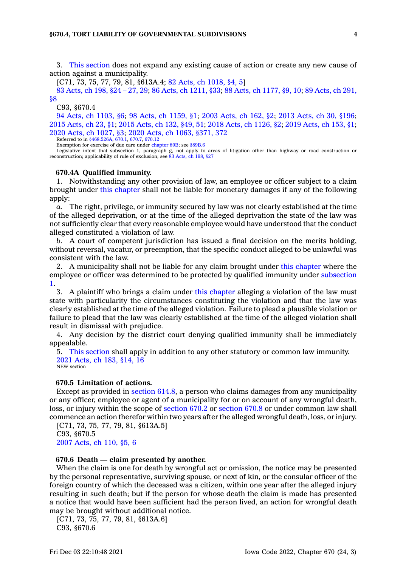3. This [section](https://www.legis.iowa.gov/docs/code/670.4.pdf) does not expand any existing cause of action or create any new cause of action against <sup>a</sup> municipality.

[C71, 73, 75, 77, 79, 81, §613A.4; 82 Acts, ch [1018,](https://www.legis.iowa.gov/docs/acts/1982/CH1018.pdf) §4, 5]

83 [Acts,](https://www.legis.iowa.gov/docs/acts/1983/CH0198.pdf) ch 198, §24 – 27, 29; 86 Acts, ch [1211,](https://www.legis.iowa.gov/docs/acts/86/CH1211.pdf) §33; 88 Acts, ch [1177,](https://www.legis.iowa.gov/docs/acts/88/CH1177.pdf) §9, 10; 89 [Acts,](https://www.legis.iowa.gov/docs/acts/89/CH0291.pdf) ch 291, [§8](https://www.legis.iowa.gov/docs/acts/89/CH0291.pdf)

C93, §670.4

94 Acts, ch [1103,](https://www.legis.iowa.gov/docs/acts/1994/CH1103.pdf) §6; 98 Acts, ch [1159,](https://www.legis.iowa.gov/docs/acts/98/CH1159.pdf) §1; 2003 [Acts,](https://www.legis.iowa.gov/docs/acts/2003/CH0162.pdf) ch 162, §2; 2013 [Acts,](https://www.legis.iowa.gov/docs/acts/2013/CH0030.pdf) ch 30, §196; 2015 [Acts,](https://www.legis.iowa.gov/docs/acts/2015/CH0023.pdf) ch 23, §1; 2015 [Acts,](https://www.legis.iowa.gov/docs/acts/2015/CH0132.pdf) ch 132, §49, 51; 2018 Acts, ch [1126,](https://www.legis.iowa.gov/docs/acts/2018/CH1126.pdf) §2; 2019 [Acts,](https://www.legis.iowa.gov/docs/acts/2019/CH0153.pdf) ch 153, §1; 2020 Acts, ch [1027,](https://www.legis.iowa.gov/docs/acts/2020/CH1027.pdf) §3; 2020 Acts, ch 1063, [§371,](https://www.legis.iowa.gov/docs/acts/2020/CH1063.pdf) 372

Referred to in [§468.526A](https://www.legis.iowa.gov/docs/code/468.526A.pdf), [670.1](https://www.legis.iowa.gov/docs/code/670.1.pdf), [670.7](https://www.legis.iowa.gov/docs/code/670.7.pdf), [670.12](https://www.legis.iowa.gov/docs/code/670.12.pdf)

Exemption for exercise of due care under [chapter](https://www.legis.iowa.gov/docs/code//89B.pdf) 89B; see [§89B.6](https://www.legis.iowa.gov/docs/code/89B.6.pdf)

Legislative intent that subsection 1, paragraph g, not apply to areas of litigation other than highway or road construction or reconstruction; applicability of rule of exclusion; see 83 [Acts,](https://www.legis.iowa.gov/docs/acts/83/CH0198.pdf) ch 198, §27

#### **670.4A Qualified immunity.**

1. Notwithstanding any other provision of law, an employee or officer subject to <sup>a</sup> claim brought under this [chapter](https://www.legis.iowa.gov/docs/code//670.pdf) shall not be liable for monetary damages if any of the following apply:

*a.* The right, privilege, or immunity secured by law was not clearly established at the time of the alleged deprivation, or at the time of the alleged deprivation the state of the law was not sufficiently clear that every reasonable employee would have understood that the conduct alleged constituted <sup>a</sup> violation of law.

*b.* A court of competent jurisdiction has issued <sup>a</sup> final decision on the merits holding, without reversal, vacatur, or preemption, that the specific conduct alleged to be unlawful was consistent with the law.

2. A municipality shall not be liable for any claim brought under this [chapter](https://www.legis.iowa.gov/docs/code//670.pdf) where the employee or officer was determined to be protected by qualified immunity under [subsection](https://www.legis.iowa.gov/docs/code/670.4A.pdf) [1](https://www.legis.iowa.gov/docs/code/670.4A.pdf).

3. A plaintiff who brings <sup>a</sup> claim under this [chapter](https://www.legis.iowa.gov/docs/code//670.pdf) alleging <sup>a</sup> violation of the law must state with particularity the circumstances constituting the violation and that the law was clearly established at the time of the alleged violation. Failure to plead <sup>a</sup> plausible violation or failure to plead that the law was clearly established at the time of the alleged violation shall result in dismissal with prejudice.

4. Any decision by the district court denying qualified immunity shall be immediately appealable.

5. This [section](https://www.legis.iowa.gov/docs/code/670.4A.pdf) shall apply in addition to any other statutory or common law immunity. 2021 [Acts,](https://www.legis.iowa.gov/docs/acts/2021/CH0183.pdf) ch 183, §14, 16 NEW section

# **670.5 Limitation of actions.**

Except as provided in [section](https://www.legis.iowa.gov/docs/code/614.8.pdf) 614.8, <sup>a</sup> person who claims damages from any municipality or any officer, employee or agent of <sup>a</sup> municipality for or on account of any wrongful death, loss, or injury within the scope of [section](https://www.legis.iowa.gov/docs/code/670.2.pdf) 670.2 or [section](https://www.legis.iowa.gov/docs/code/670.8.pdf) 670.8 or under common law shall commence an action therefor within two years after the alleged wrongful death, loss, or injury.

[C71, 73, 75, 77, 79, 81, §613A.5] C93, §670.5 2007 [Acts,](https://www.legis.iowa.gov/docs/acts/2007/CH0110.pdf) ch 110, §5, 6

#### **670.6 Death — claim presented by another.**

When the claim is one for death by wrongful act or omission, the notice may be presented by the personal representative, surviving spouse, or next of kin, or the consular officer of the foreign country of which the deceased was <sup>a</sup> citizen, within one year after the alleged injury resulting in such death; but if the person for whose death the claim is made has presented <sup>a</sup> notice that would have been sufficient had the person lived, an action for wrongful death may be brought without additional notice.

[C71, 73, 75, 77, 79, 81, §613A.6] C93, §670.6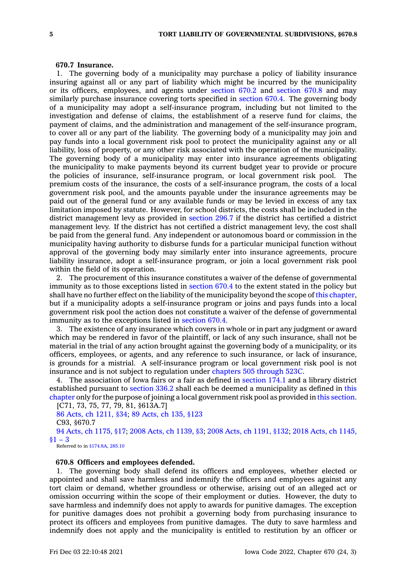#### **670.7 Insurance.**

1. The governing body of <sup>a</sup> municipality may purchase <sup>a</sup> policy of liability insurance insuring against all or any part of liability which might be incurred by the municipality or its officers, employees, and agents under [section](https://www.legis.iowa.gov/docs/code/670.2.pdf) 670.2 and [section](https://www.legis.iowa.gov/docs/code/670.8.pdf) 670.8 and may similarly purchase insurance covering torts specified in [section](https://www.legis.iowa.gov/docs/code/670.4.pdf) 670.4. The governing body of <sup>a</sup> municipality may adopt <sup>a</sup> self-insurance program, including but not limited to the investigation and defense of claims, the establishment of <sup>a</sup> reserve fund for claims, the payment of claims, and the administration and management of the self-insurance program, to cover all or any part of the liability. The governing body of <sup>a</sup> municipality may join and pay funds into <sup>a</sup> local government risk pool to protect the municipality against any or all liability, loss of property, or any other risk associated with the operation of the municipality. The governing body of <sup>a</sup> municipality may enter into insurance agreements obligating the municipality to make payments beyond its current budget year to provide or procure the policies of insurance, self-insurance program, or local government risk pool. The premium costs of the insurance, the costs of <sup>a</sup> self-insurance program, the costs of <sup>a</sup> local government risk pool, and the amounts payable under the insurance agreements may be paid out of the general fund or any available funds or may be levied in excess of any tax limitation imposed by statute. However, for school districts, the costs shall be included in the district management levy as provided in [section](https://www.legis.iowa.gov/docs/code/296.7.pdf) 296.7 if the district has certified <sup>a</sup> district management levy. If the district has not certified <sup>a</sup> district management levy, the cost shall be paid from the general fund. Any independent or autonomous board or commission in the municipality having authority to disburse funds for <sup>a</sup> particular municipal function without approval of the governing body may similarly enter into insurance agreements, procure liability insurance, adopt <sup>a</sup> self-insurance program, or join <sup>a</sup> local government risk pool within the field of its operation.

2. The procurement of this insurance constitutes <sup>a</sup> waiver of the defense of governmental immunity as to those exceptions listed in [section](https://www.legis.iowa.gov/docs/code/670.4.pdf) 670.4 to the extent stated in the policy but shall have no further effect on the liability of the municipality beyond the scope of this [chapter](https://www.legis.iowa.gov/docs/code//670.pdf), but if <sup>a</sup> municipality adopts <sup>a</sup> self-insurance program or joins and pays funds into <sup>a</sup> local government risk pool the action does not constitute <sup>a</sup> waiver of the defense of governmental immunity as to the exceptions listed in [section](https://www.legis.iowa.gov/docs/code/670.4.pdf) 670.4.

3. The existence of any insurance which covers in whole or in part any judgment or award which may be rendered in favor of the plaintiff, or lack of any such insurance, shall not be material in the trial of any action brought against the governing body of <sup>a</sup> municipality, or its officers, employees, or agents, and any reference to such insurance, or lack of insurance, is grounds for <sup>a</sup> mistrial. A self-insurance program or local government risk pool is not insurance and is not subject to regulation under [chapters](https://www.legis.iowa.gov/docs/code/505.pdf) 505 through 523C.

4. The association of Iowa fairs or <sup>a</sup> fair as defined in [section](https://www.legis.iowa.gov/docs/code/174.1.pdf) 174.1 and <sup>a</sup> library district established pursuant to [section](https://www.legis.iowa.gov/docs/code/336.2.pdf) 336.2 shall each be deemed <sup>a</sup> municipality as defined in [this](https://www.legis.iowa.gov/docs/code//670.pdf) [chapter](https://www.legis.iowa.gov/docs/code//670.pdf) only for the purpose of joining <sup>a</sup> local government risk pool as provided in this [section](https://www.legis.iowa.gov/docs/code/670.7.pdf).

```
[C71, 73, 75, 77, 79, 81, §613A.7]
 86 Acts, ch 1211, §34; 89 Acts, ch 135, §123
 C93, §670.7
 94 Acts, ch 1175, §17; 2008 Acts, ch 1139, §3; 2008 Acts, ch 1191, §132; 2018 Acts, ch 1145,
§1 - 3
```
Referred to in [§174.8A](https://www.legis.iowa.gov/docs/code/174.8A.pdf), [285.10](https://www.legis.iowa.gov/docs/code/285.10.pdf)

### **670.8 Officers and employees defended.**

1. The governing body shall defend its officers and employees, whether elected or appointed and shall save harmless and indemnify the officers and employees against any tort claim or demand, whether groundless or otherwise, arising out of an alleged act or omission occurring within the scope of their employment or duties. However, the duty to save harmless and indemnify does not apply to awards for punitive damages. The exception for punitive damages does not prohibit <sup>a</sup> governing body from purchasing insurance to protect its officers and employees from punitive damages. The duty to save harmless and indemnify does not apply and the municipality is entitled to restitution by an officer or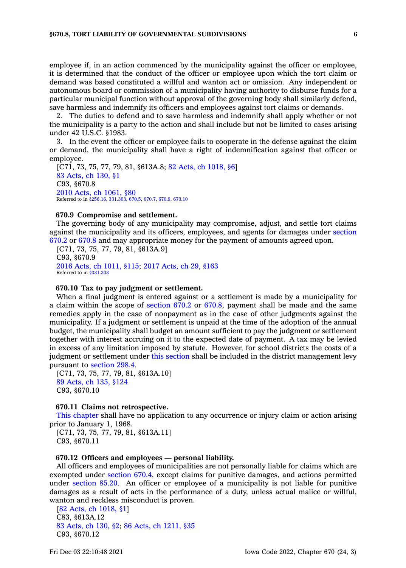employee if, in an action commenced by the municipality against the officer or employee, it is determined that the conduct of the officer or employee upon which the tort claim or demand was based constituted <sup>a</sup> willful and wanton act or omission. Any independent or autonomous board or commission of <sup>a</sup> municipality having authority to disburse funds for <sup>a</sup> particular municipal function without approval of the governing body shall similarly defend, save harmless and indemnify its officers and employees against tort claims or demands.

2. The duties to defend and to save harmless and indemnify shall apply whether or not the municipality is <sup>a</sup> party to the action and shall include but not be limited to cases arising under 42 U.S.C. §1983.

3. In the event the officer or employee fails to cooperate in the defense against the claim or demand, the municipality shall have <sup>a</sup> right of indemnification against that officer or employee.

[C71, 73, 75, 77, 79, 81, §613A.8; 82 Acts, ch [1018,](https://www.legis.iowa.gov/docs/acts/1982/CH1018.pdf) §6] 83 [Acts,](https://www.legis.iowa.gov/docs/acts/1983/CH0130.pdf) ch 130, §1 C93, §670.8 2010 Acts, ch [1061,](https://www.legis.iowa.gov/docs/acts/2010/CH1061.pdf) §80 Referred to in [§256.16](https://www.legis.iowa.gov/docs/code/256.16.pdf), [331.303](https://www.legis.iowa.gov/docs/code/331.303.pdf), [670.5](https://www.legis.iowa.gov/docs/code/670.5.pdf), [670.7](https://www.legis.iowa.gov/docs/code/670.7.pdf), [670.9](https://www.legis.iowa.gov/docs/code/670.9.pdf), [670.10](https://www.legis.iowa.gov/docs/code/670.10.pdf)

#### **670.9 Compromise and settlement.**

The governing body of any municipality may compromise, adjust, and settle tort claims against the municipality and its officers, employees, and agents for damages under [section](https://www.legis.iowa.gov/docs/code/670.2.pdf) [670.2](https://www.legis.iowa.gov/docs/code/670.2.pdf) or [670.8](https://www.legis.iowa.gov/docs/code/670.8.pdf) and may appropriate money for the payment of amounts agreed upon.

[C71, 73, 75, 77, 79, 81, §613A.9] C93, §670.9 2016 Acts, ch [1011,](https://www.legis.iowa.gov/docs/acts/2016/CH1011.pdf) §115; 2017 [Acts,](https://www.legis.iowa.gov/docs/acts/2017/CH0029.pdf) ch 29, §163 Referred to in [§331.303](https://www.legis.iowa.gov/docs/code/331.303.pdf)

# **670.10 Tax to pay judgment or settlement.**

When <sup>a</sup> final judgment is entered against or <sup>a</sup> settlement is made by <sup>a</sup> municipality for <sup>a</sup> claim within the scope of [section](https://www.legis.iowa.gov/docs/code/670.2.pdf) 670.2 or [670.8](https://www.legis.iowa.gov/docs/code/670.8.pdf), payment shall be made and the same remedies apply in the case of nonpayment as in the case of other judgments against the municipality. If <sup>a</sup> judgment or settlement is unpaid at the time of the adoption of the annual budget, the municipality shall budget an amount sufficient to pay the judgment or settlement together with interest accruing on it to the expected date of payment. A tax may be levied in excess of any limitation imposed by statute. However, for school districts the costs of <sup>a</sup> judgment or settlement under this [section](https://www.legis.iowa.gov/docs/code/670.10.pdf) shall be included in the district management levy pursuant to [section](https://www.legis.iowa.gov/docs/code/298.4.pdf) 298.4.

[C71, 73, 75, 77, 79, 81, §613A.10] 89 [Acts,](https://www.legis.iowa.gov/docs/acts/1989/CH0135.pdf) ch 135, §124 C93, §670.10

#### **670.11 Claims not retrospective.**

This [chapter](https://www.legis.iowa.gov/docs/code//670.pdf) shall have no application to any occurrence or injury claim or action arising prior to January 1, 1968.

[C71, 73, 75, 77, 79, 81, §613A.11] C93, §670.11

### **670.12 Officers and employees — personal liability.**

All officers and employees of municipalities are not personally liable for claims which are exempted under [section](https://www.legis.iowa.gov/docs/code/670.4.pdf) 670.4, except claims for punitive damages, and actions permitted under [section](https://www.legis.iowa.gov/docs/code/85.20.pdf) 85.20. An officer or employee of <sup>a</sup> municipality is not liable for punitive damages as <sup>a</sup> result of acts in the performance of <sup>a</sup> duty, unless actual malice or willful, wanton and reckless misconduct is proven.

[82 Acts, ch [1018,](https://www.legis.iowa.gov/docs/acts/1982/CH1018.pdf) §1] C83, §613A.12 83 [Acts,](https://www.legis.iowa.gov/docs/acts/1983/CH0130.pdf) ch 130, §2; 86 Acts, ch [1211,](https://www.legis.iowa.gov/docs/acts/1986/CH1211.pdf) §35 C93, §670.12